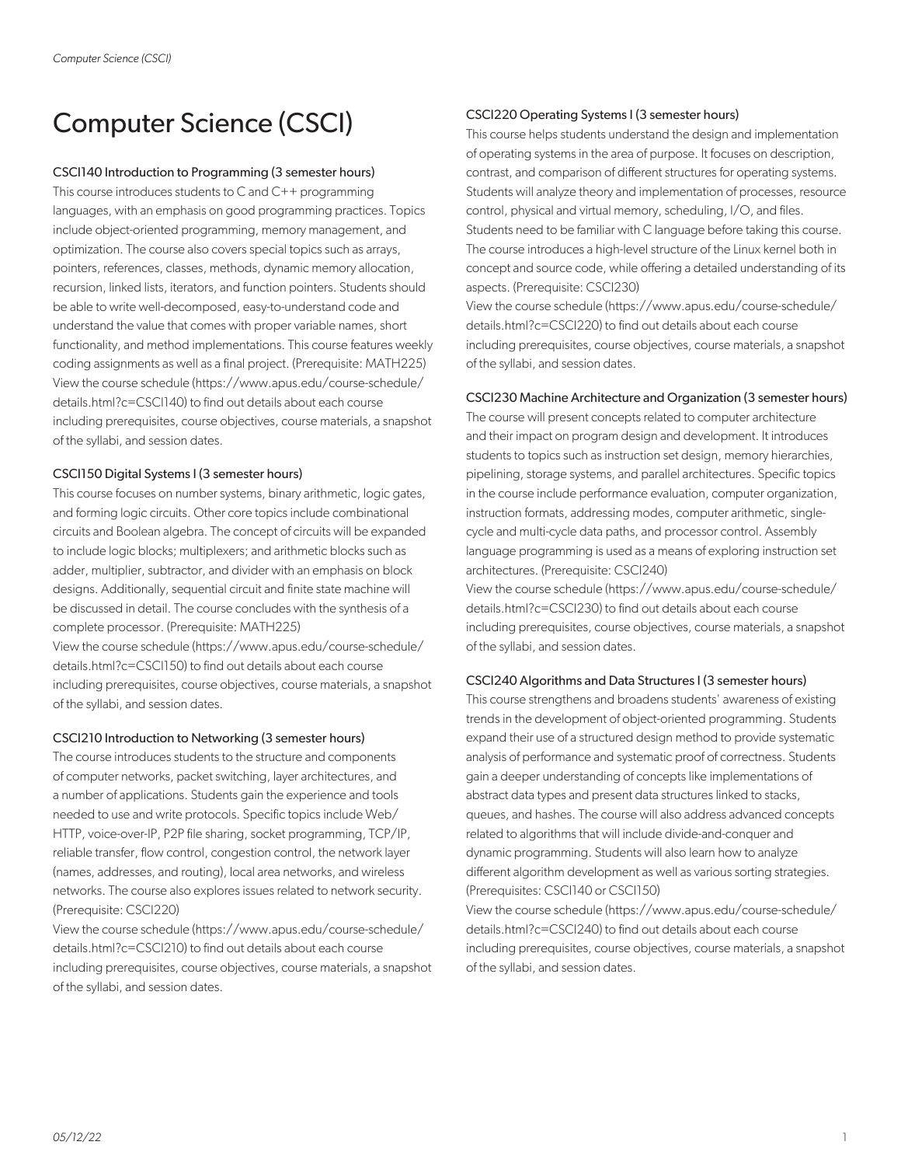# Computer Science (CSCI)

## CSCI140 Introduction to Programming (3 semester hours)

This course introduces students to C and C++ programming languages, with an emphasis on good programming practices. Topics include object-oriented programming, memory management, and optimization. The course also covers special topics such as arrays, pointers, references, classes, methods, dynamic memory allocation, recursion, linked lists, iterators, and function pointers. Students should be able to write well-decomposed, easy-to-understand code and understand the value that comes with proper variable names, short functionality, and method implementations. This course features weekly coding assignments as well as a final project. (Prerequisite: MATH225) View the course schedule (https://www.apus.edu/course-schedule/ details.html?c=CSCI140) to find out details about each course including prerequisites, course objectives, course materials, a snapshot of the syllabi, and session dates.

#### CSCI150 Digital Systems I (3 semester hours)

This course focuses on number systems, binary arithmetic, logic gates, and forming logic circuits. Other core topics include combinational circuits and Boolean algebra. The concept of circuits will be expanded to include logic blocks; multiplexers; and arithmetic blocks such as adder, multiplier, subtractor, and divider with an emphasis on block designs. Additionally, sequential circuit and finite state machine will be discussed in detail. The course concludes with the synthesis of a complete processor. (Prerequisite: MATH225)

View the course schedule (https://www.apus.edu/course-schedule/ details.html?c=CSCI150) to find out details about each course including prerequisites, course objectives, course materials, a snapshot of the syllabi, and session dates.

#### CSCI210 Introduction to Networking (3 semester hours)

The course introduces students to the structure and components of computer networks, packet switching, layer architectures, and a number of applications. Students gain the experience and tools needed to use and write protocols. Specific topics include Web/ HTTP, voice-over-IP, P2P file sharing, socket programming, TCP/IP, reliable transfer, flow control, congestion control, the network layer (names, addresses, and routing), local area networks, and wireless networks. The course also explores issues related to network security. (Prerequisite: CSCI220)

View the course schedule (https://www.apus.edu/course-schedule/ details.html?c=CSCI210) to find out details about each course including prerequisites, course objectives, course materials, a snapshot of the syllabi, and session dates.

# CSCI220 Operating Systems I (3 semester hours)

This course helps students understand the design and implementation of operating systems in the area of purpose. It focuses on description, contrast, and comparison of different structures for operating systems. Students will analyze theory and implementation of processes, resource control, physical and virtual memory, scheduling, I/O, and files. Students need to be familiar with C language before taking this course. The course introduces a high-level structure of the Linux kernel both in concept and source code, while offering a detailed understanding of its aspects. (Prerequisite: CSCI230)

View the course schedule (https://www.apus.edu/course-schedule/ details.html?c=CSCI220) to find out details about each course including prerequisites, course objectives, course materials, a snapshot of the syllabi, and session dates.

# CSCI230 Machine Architecture and Organization (3 semester hours)

The course will present concepts related to computer architecture and their impact on program design and development. It introduces students to topics such as instruction set design, memory hierarchies, pipelining, storage systems, and parallel architectures. Specific topics in the course include performance evaluation, computer organization, instruction formats, addressing modes, computer arithmetic, singlecycle and multi-cycle data paths, and processor control. Assembly language programming is used as a means of exploring instruction set architectures. (Prerequisite: CSCI240)

View the course schedule (https://www.apus.edu/course-schedule/ details.html?c=CSCI230) to find out details about each course including prerequisites, course objectives, course materials, a snapshot of the syllabi, and session dates.

#### CSCI240 Algorithms and Data Structures I (3 semester hours)

This course strengthens and broadens students' awareness of existing trends in the development of object-oriented programming. Students expand their use of a structured design method to provide systematic analysis of performance and systematic proof of correctness. Students gain a deeper understanding of concepts like implementations of abstract data types and present data structures linked to stacks, queues, and hashes. The course will also address advanced concepts related to algorithms that will include divide-and-conquer and dynamic programming. Students will also learn how to analyze different algorithm development as well as various sorting strategies. (Prerequisites: CSCI140 or CSCI150)

View the course schedule (https://www.apus.edu/course-schedule/ details.html?c=CSCI240) to find out details about each course including prerequisites, course objectives, course materials, a snapshot of the syllabi, and session dates.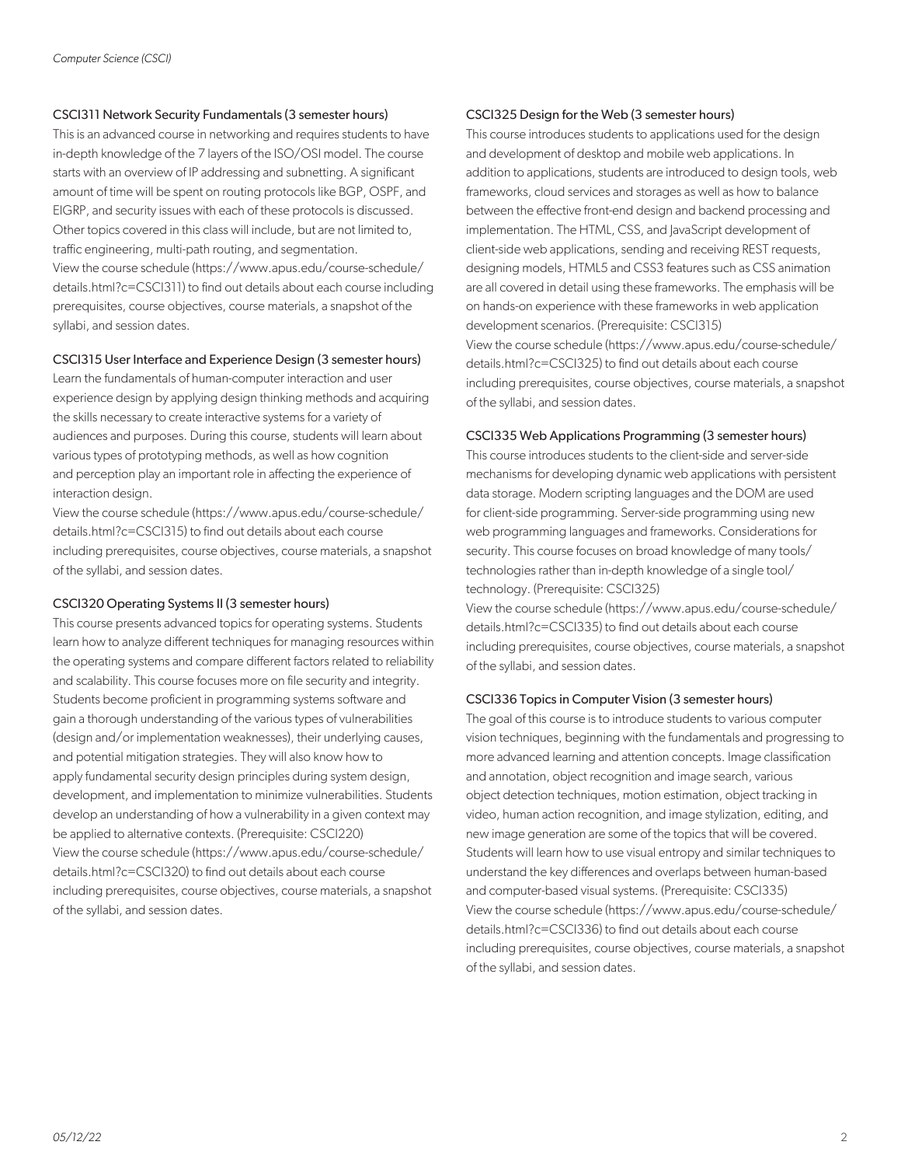## CSCI311 Network Security Fundamentals (3 semester hours)

This is an advanced course in networking and requires students to have in-depth knowledge of the 7 layers of the ISO/OSI model. The course starts with an overview of IP addressing and subnetting. A significant amount of time will be spent on routing protocols like BGP, OSPF, and EIGRP, and security issues with each of these protocols is discussed. Other topics covered in this class will include, but are not limited to, traffic engineering, multi-path routing, and segmentation. View the course schedule (https://www.apus.edu/course-schedule/ details.html?c=CSCI311) to find out details about each course including prerequisites, course objectives, course materials, a snapshot of the syllabi, and session dates.

# CSCI315 User Interface and Experience Design (3 semester hours)

Learn the fundamentals of human-computer interaction and user experience design by applying design thinking methods and acquiring the skills necessary to create interactive systems for a variety of audiences and purposes. During this course, students will learn about various types of prototyping methods, as well as how cognition and perception play an important role in affecting the experience of interaction design.

View the course schedule (https://www.apus.edu/course-schedule/ details.html?c=CSCI315) to find out details about each course including prerequisites, course objectives, course materials, a snapshot of the syllabi, and session dates.

#### CSCI320 Operating Systems II (3 semester hours)

This course presents advanced topics for operating systems. Students learn how to analyze different techniques for managing resources within the operating systems and compare different factors related to reliability and scalability. This course focuses more on file security and integrity. Students become proficient in programming systems software and gain a thorough understanding of the various types of vulnerabilities (design and/or implementation weaknesses), their underlying causes, and potential mitigation strategies. They will also know how to apply fundamental security design principles during system design, development, and implementation to minimize vulnerabilities. Students develop an understanding of how a vulnerability in a given context may be applied to alternative contexts. (Prerequisite: CSCI220) View the course schedule (https://www.apus.edu/course-schedule/ details.html?c=CSCI320) to find out details about each course including prerequisites, course objectives, course materials, a snapshot of the syllabi, and session dates.

#### CSCI325 Design for the Web (3 semester hours)

This course introduces students to applications used for the design and development of desktop and mobile web applications. In addition to applications, students are introduced to design tools, web frameworks, cloud services and storages as well as how to balance between the effective front-end design and backend processing and implementation. The HTML, CSS, and JavaScript development of client-side web applications, sending and receiving REST requests, designing models, HTML5 and CSS3 features such as CSS animation are all covered in detail using these frameworks. The emphasis will be on hands-on experience with these frameworks in web application development scenarios. (Prerequisite: CSCI315) View the course schedule (https://www.apus.edu/course-schedule/ details.html?c=CSCI325) to find out details about each course including prerequisites, course objectives, course materials, a snapshot of the syllabi, and session dates.

# CSCI335 Web Applications Programming (3 semester hours)

This course introduces students to the client-side and server-side mechanisms for developing dynamic web applications with persistent data storage. Modern scripting languages and the DOM are used for client-side programming. Server-side programming using new web programming languages and frameworks. Considerations for security. This course focuses on broad knowledge of many tools/ technologies rather than in-depth knowledge of a single tool/ technology. (Prerequisite: CSCI325)

View the course schedule (https://www.apus.edu/course-schedule/ details.html?c=CSCI335) to find out details about each course including prerequisites, course objectives, course materials, a snapshot of the syllabi, and session dates.

# CSCI336 Topics in Computer Vision (3 semester hours)

The goal of this course is to introduce students to various computer vision techniques, beginning with the fundamentals and progressing to more advanced learning and attention concepts. Image classification and annotation, object recognition and image search, various object detection techniques, motion estimation, object tracking in video, human action recognition, and image stylization, editing, and new image generation are some of the topics that will be covered. Students will learn how to use visual entropy and similar techniques to understand the key differences and overlaps between human-based and computer-based visual systems. (Prerequisite: CSCI335) View the course schedule (https://www.apus.edu/course-schedule/ details.html?c=CSCI336) to find out details about each course including prerequisites, course objectives, course materials, a snapshot of the syllabi, and session dates.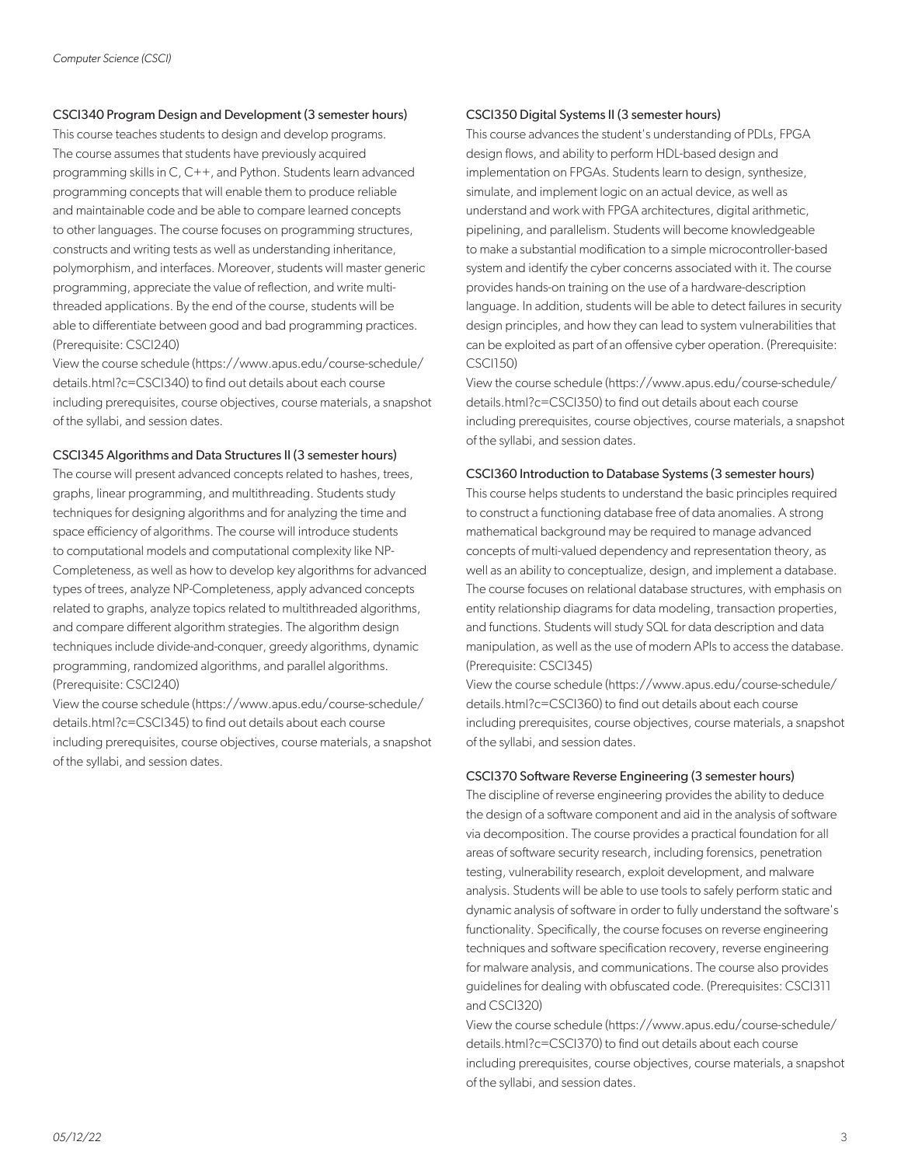# CSCI340 Program Design and Development (3 semester hours)

This course teaches students to design and develop programs. The course assumes that students have previously acquired programming skills in C, C++, and Python. Students learn advanced programming concepts that will enable them to produce reliable and maintainable code and be able to compare learned concepts to other languages. The course focuses on programming structures, constructs and writing tests as well as understanding inheritance, polymorphism, and interfaces. Moreover, students will master generic programming, appreciate the value of reflection, and write multithreaded applications. By the end of the course, students will be able to differentiate between good and bad programming practices. (Prerequisite: CSCI240)

View the course schedule (https://www.apus.edu/course-schedule/ details.html?c=CSCI340) to find out details about each course including prerequisites, course objectives, course materials, a snapshot of the syllabi, and session dates.

#### CSCI345 Algorithms and Data Structures II (3 semester hours)

The course will present advanced concepts related to hashes, trees, graphs, linear programming, and multithreading. Students study techniques for designing algorithms and for analyzing the time and space efficiency of algorithms. The course will introduce students to computational models and computational complexity like NP-Completeness, as well as how to develop key algorithms for advanced types of trees, analyze NP-Completeness, apply advanced concepts related to graphs, analyze topics related to multithreaded algorithms, and compare different algorithm strategies. The algorithm design techniques include divide-and-conquer, greedy algorithms, dynamic programming, randomized algorithms, and parallel algorithms. (Prerequisite: CSCI240)

View the course schedule (https://www.apus.edu/course-schedule/ details.html?c=CSCI345) to find out details about each course including prerequisites, course objectives, course materials, a snapshot of the syllabi, and session dates.

#### CSCI350 Digital Systems II (3 semester hours)

This course advances the student's understanding of PDLs, FPGA design flows, and ability to perform HDL-based design and implementation on FPGAs. Students learn to design, synthesize, simulate, and implement logic on an actual device, as well as understand and work with FPGA architectures, digital arithmetic, pipelining, and parallelism. Students will become knowledgeable to make a substantial modification to a simple microcontroller-based system and identify the cyber concerns associated with it. The course provides hands-on training on the use of a hardware-description language. In addition, students will be able to detect failures in security design principles, and how they can lead to system vulnerabilities that can be exploited as part of an offensive cyber operation. (Prerequisite: CSCI150)

View the course schedule (https://www.apus.edu/course-schedule/ details.html?c=CSCI350) to find out details about each course including prerequisites, course objectives, course materials, a snapshot of the syllabi, and session dates.

#### CSCI360 Introduction to Database Systems (3 semester hours)

This course helps students to understand the basic principles required to construct a functioning database free of data anomalies. A strong mathematical background may be required to manage advanced concepts of multi-valued dependency and representation theory, as well as an ability to conceptualize, design, and implement a database. The course focuses on relational database structures, with emphasis on entity relationship diagrams for data modeling, transaction properties, and functions. Students will study SQL for data description and data manipulation, as well as the use of modern APIs to access the database. (Prerequisite: CSCI345)

View the course schedule (https://www.apus.edu/course-schedule/ details.html?c=CSCI360) to find out details about each course including prerequisites, course objectives, course materials, a snapshot of the syllabi, and session dates.

#### CSCI370 Software Reverse Engineering (3 semester hours)

The discipline of reverse engineering provides the ability to deduce the design of a software component and aid in the analysis of software via decomposition. The course provides a practical foundation for all areas of software security research, including forensics, penetration testing, vulnerability research, exploit development, and malware analysis. Students will be able to use tools to safely perform static and dynamic analysis of software in order to fully understand the software's functionality. Specifically, the course focuses on reverse engineering techniques and software specification recovery, reverse engineering for malware analysis, and communications. The course also provides guidelines for dealing with obfuscated code. (Prerequisites: CSCI311 and CSCI320)

View the course schedule (https://www.apus.edu/course-schedule/ details.html?c=CSCI370) to find out details about each course including prerequisites, course objectives, course materials, a snapshot of the syllabi, and session dates.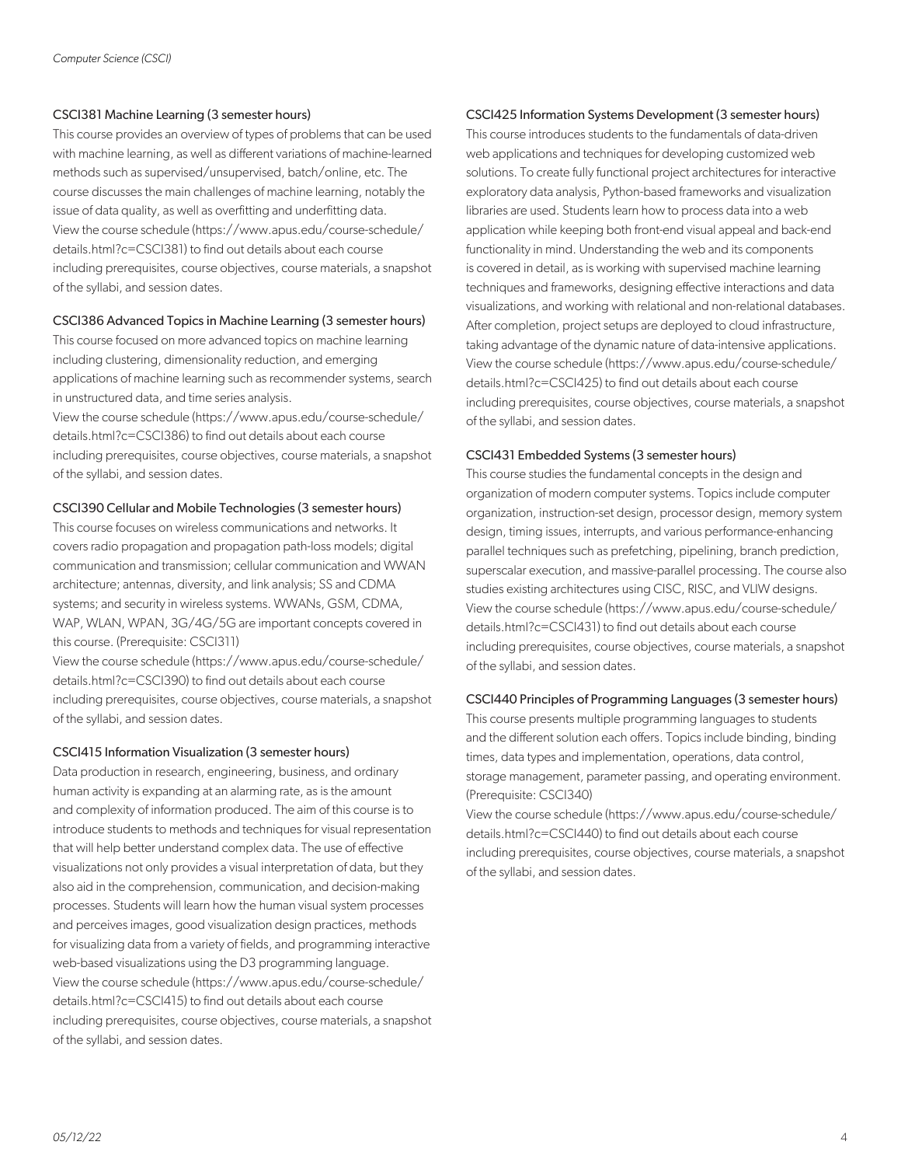# CSCI381 Machine Learning (3 semester hours)

This course provides an overview of types of problems that can be used with machine learning, as well as different variations of machine-learned methods such as supervised/unsupervised, batch/online, etc. The course discusses the main challenges of machine learning, notably the issue of data quality, as well as overfitting and underfitting data. View the course schedule (https://www.apus.edu/course-schedule/ details.html?c=CSCI381) to find out details about each course including prerequisites, course objectives, course materials, a snapshot of the syllabi, and session dates.

# CSCI386 Advanced Topics in Machine Learning (3 semester hours)

This course focused on more advanced topics on machine learning including clustering, dimensionality reduction, and emerging applications of machine learning such as recommender systems, search in unstructured data, and time series analysis.

View the course schedule (https://www.apus.edu/course-schedule/ details.html?c=CSCI386) to find out details about each course including prerequisites, course objectives, course materials, a snapshot of the syllabi, and session dates.

# CSCI390 Cellular and Mobile Technologies (3 semester hours)

This course focuses on wireless communications and networks. It covers radio propagation and propagation path-loss models; digital communication and transmission; cellular communication and WWAN architecture; antennas, diversity, and link analysis; SS and CDMA systems; and security in wireless systems. WWANs, GSM, CDMA, WAP, WLAN, WPAN, 3G/4G/5G are important concepts covered in this course. (Prerequisite: CSCI311)

View the course schedule (https://www.apus.edu/course-schedule/ details.html?c=CSCI390) to find out details about each course including prerequisites, course objectives, course materials, a snapshot of the syllabi, and session dates.

#### CSCI415 Information Visualization (3 semester hours)

Data production in research, engineering, business, and ordinary human activity is expanding at an alarming rate, as is the amount and complexity of information produced. The aim of this course is to introduce students to methods and techniques for visual representation that will help better understand complex data. The use of effective visualizations not only provides a visual interpretation of data, but they also aid in the comprehension, communication, and decision-making processes. Students will learn how the human visual system processes and perceives images, good visualization design practices, methods for visualizing data from a variety of fields, and programming interactive web-based visualizations using the D3 programming language. View the course schedule (https://www.apus.edu/course-schedule/ details.html?c=CSCI415) to find out details about each course including prerequisites, course objectives, course materials, a snapshot of the syllabi, and session dates.

# CSCI425 Information Systems Development (3 semester hours)

This course introduces students to the fundamentals of data-driven web applications and techniques for developing customized web solutions. To create fully functional project architectures for interactive exploratory data analysis, Python-based frameworks and visualization libraries are used. Students learn how to process data into a web application while keeping both front-end visual appeal and back-end functionality in mind. Understanding the web and its components is covered in detail, as is working with supervised machine learning techniques and frameworks, designing effective interactions and data visualizations, and working with relational and non-relational databases. After completion, project setups are deployed to cloud infrastructure, taking advantage of the dynamic nature of data-intensive applications. View the course schedule (https://www.apus.edu/course-schedule/ details.html?c=CSCI425) to find out details about each course including prerequisites, course objectives, course materials, a snapshot of the syllabi, and session dates.

# CSCI431 Embedded Systems (3 semester hours)

This course studies the fundamental concepts in the design and organization of modern computer systems. Topics include computer organization, instruction-set design, processor design, memory system design, timing issues, interrupts, and various performance-enhancing parallel techniques such as prefetching, pipelining, branch prediction, superscalar execution, and massive-parallel processing. The course also studies existing architectures using CISC, RISC, and VLIW designs. View the course schedule (https://www.apus.edu/course-schedule/ details.html?c=CSCI431) to find out details about each course including prerequisites, course objectives, course materials, a snapshot of the syllabi, and session dates.

#### CSCI440 Principles of Programming Languages (3 semester hours)

This course presents multiple programming languages to students and the different solution each offers. Topics include binding, binding times, data types and implementation, operations, data control, storage management, parameter passing, and operating environment. (Prerequisite: CSCI340)

View the course schedule (https://www.apus.edu/course-schedule/ details.html?c=CSCI440) to find out details about each course including prerequisites, course objectives, course materials, a snapshot of the syllabi, and session dates.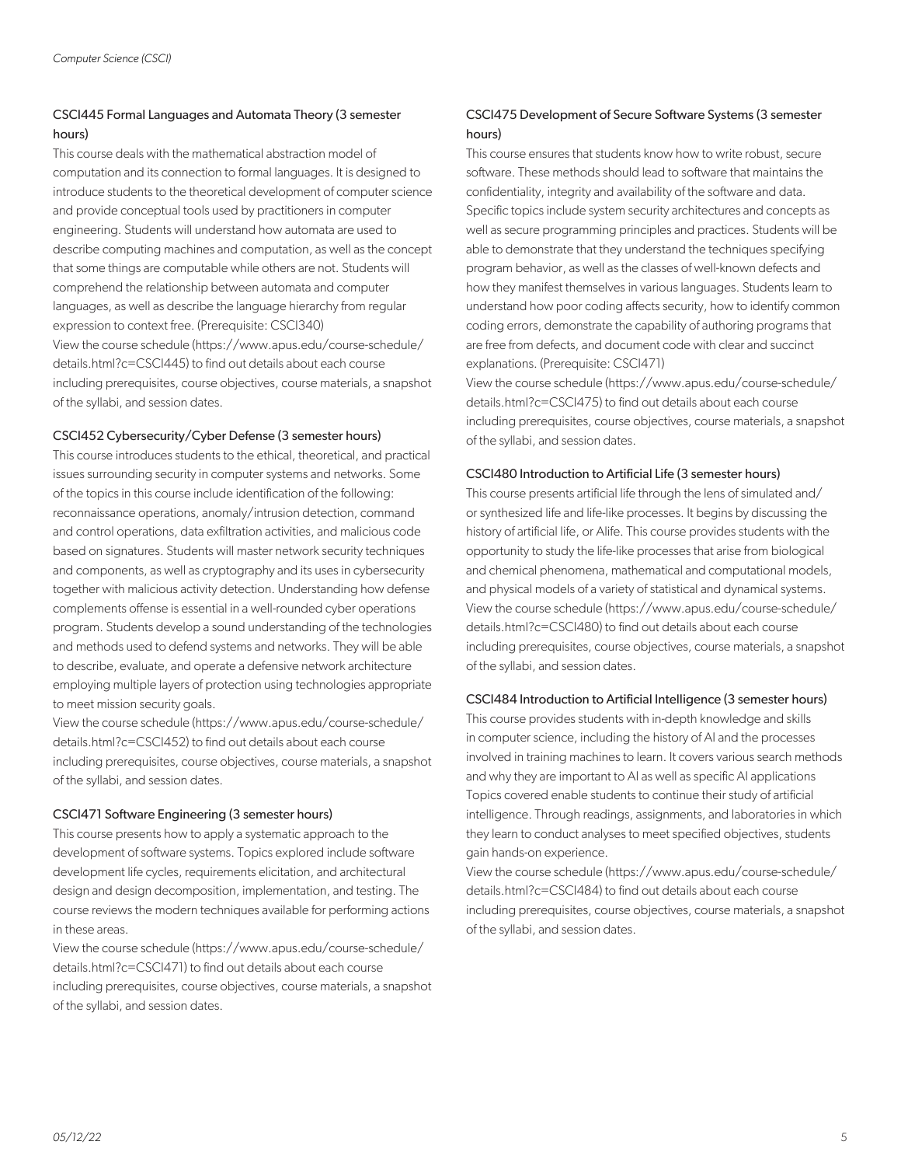# CSCI445 Formal Languages and Automata Theory (3 semester hours)

This course deals with the mathematical abstraction model of computation and its connection to formal languages. It is designed to introduce students to the theoretical development of computer science and provide conceptual tools used by practitioners in computer engineering. Students will understand how automata are used to describe computing machines and computation, as well as the concept that some things are computable while others are not. Students will comprehend the relationship between automata and computer languages, as well as describe the language hierarchy from regular expression to context free. (Prerequisite: CSCI340) View the course schedule (https://www.apus.edu/course-schedule/ details.html?c=CSCI445) to find out details about each course including prerequisites, course objectives, course materials, a snapshot of the syllabi, and session dates.

# CSCI452 Cybersecurity/Cyber Defense (3 semester hours)

This course introduces students to the ethical, theoretical, and practical issues surrounding security in computer systems and networks. Some of the topics in this course include identification of the following: reconnaissance operations, anomaly/intrusion detection, command and control operations, data exfiltration activities, and malicious code based on signatures. Students will master network security techniques and components, as well as cryptography and its uses in cybersecurity together with malicious activity detection. Understanding how defense complements offense is essential in a well-rounded cyber operations program. Students develop a sound understanding of the technologies and methods used to defend systems and networks. They will be able to describe, evaluate, and operate a defensive network architecture employing multiple layers of protection using technologies appropriate to meet mission security goals.

View the course schedule (https://www.apus.edu/course-schedule/ details.html?c=CSCI452) to find out details about each course including prerequisites, course objectives, course materials, a snapshot of the syllabi, and session dates.

#### CSCI471 Software Engineering (3 semester hours)

This course presents how to apply a systematic approach to the development of software systems. Topics explored include software development life cycles, requirements elicitation, and architectural design and design decomposition, implementation, and testing. The course reviews the modern techniques available for performing actions in these areas.

View the course schedule (https://www.apus.edu/course-schedule/ details.html?c=CSCI471) to find out details about each course including prerequisites, course objectives, course materials, a snapshot of the syllabi, and session dates.

# CSCI475 Development of Secure Software Systems (3 semester hours)

This course ensures that students know how to write robust, secure software. These methods should lead to software that maintains the confidentiality, integrity and availability of the software and data. Specific topics include system security architectures and concepts as well as secure programming principles and practices. Students will be able to demonstrate that they understand the techniques specifying program behavior, as well as the classes of well-known defects and how they manifest themselves in various languages. Students learn to understand how poor coding affects security, how to identify common coding errors, demonstrate the capability of authoring programs that are free from defects, and document code with clear and succinct explanations. (Prerequisite: CSCI471)

View the course schedule (https://www.apus.edu/course-schedule/ details.html?c=CSCI475) to find out details about each course including prerequisites, course objectives, course materials, a snapshot of the syllabi, and session dates.

# CSCI480 Introduction to Artificial Life (3 semester hours)

This course presents artificial life through the lens of simulated and/ or synthesized life and life-like processes. It begins by discussing the history of artificial life, or Alife. This course provides students with the opportunity to study the life-like processes that arise from biological and chemical phenomena, mathematical and computational models, and physical models of a variety of statistical and dynamical systems. View the course schedule (https://www.apus.edu/course-schedule/ details.html?c=CSCI480) to find out details about each course including prerequisites, course objectives, course materials, a snapshot of the syllabi, and session dates.

# CSCI484 Introduction to Artificial Intelligence (3 semester hours)

This course provides students with in-depth knowledge and skills in computer science, including the history of AI and the processes involved in training machines to learn. It covers various search methods and why they are important to AI as well as specific AI applications Topics covered enable students to continue their study of artificial intelligence. Through readings, assignments, and laboratories in which they learn to conduct analyses to meet specified objectives, students gain hands-on experience.

View the course schedule (https://www.apus.edu/course-schedule/ details.html?c=CSCI484) to find out details about each course including prerequisites, course objectives, course materials, a snapshot of the syllabi, and session dates.